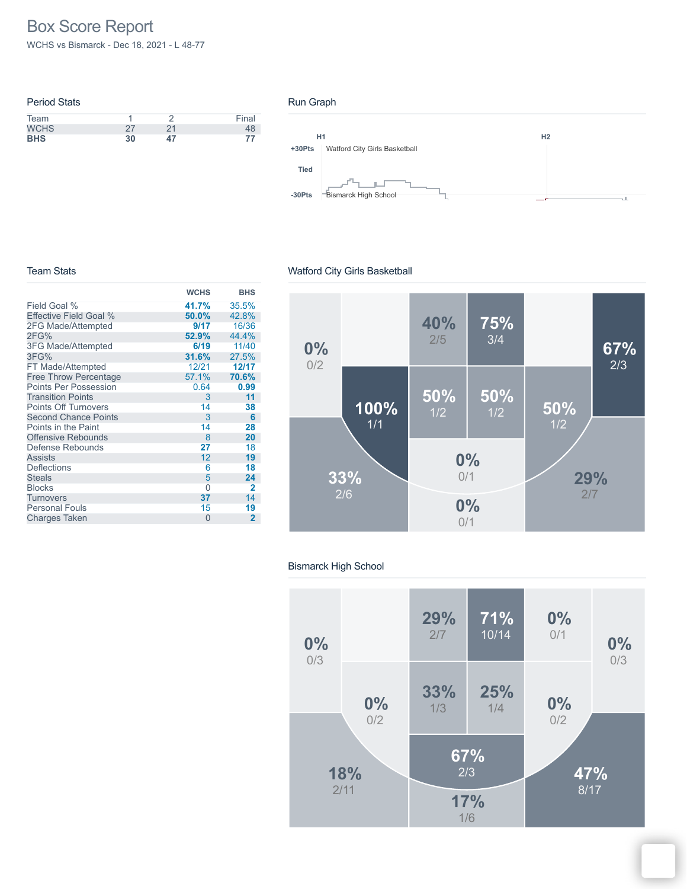# Box Score Report

WCHS vs Bismarck - Dec 18, 2021 - L 48-77

| <b>Period Stats</b> |    |    |       |
|---------------------|----|----|-------|
| Team                |    |    | Final |
| <b>WCHS</b>         | つフ | 21 | 48    |
| <b>BHS</b>          | 30 | 47 |       |

#### Run Graph



#### Team Stats

### Watford City Girls Basketball

|                              | <b>WCHS</b> | <b>BHS</b>  |
|------------------------------|-------------|-------------|
| Field Goal %                 | 41.7%       | 35.5%       |
| Effective Field Goal %       | 50.0%       | 42.8%       |
| 2FG Made/Attempted           | 9/17        | 16/36       |
| 2FG%                         | 52.9%       | 44.4%       |
| <b>3FG Made/Attempted</b>    | 6/19        | 11/40       |
| 3FG%                         | 31.6%       | 27.5%       |
| FT Made/Attempted            | 12/21       | 12/17       |
| <b>Free Throw Percentage</b> | 57.1%       | 70.6%       |
| <b>Points Per Possession</b> | 0.64        | 0.99        |
| <b>Transition Points</b>     | 3           | 11          |
| <b>Points Off Turnovers</b>  | 14          | 38          |
| <b>Second Chance Points</b>  | 3           | 6           |
| Points in the Paint          | 14          | 28          |
| <b>Offensive Rebounds</b>    | 8           | 20          |
| Defense Rebounds             | 27          | 18          |
| <b>Assists</b>               | 12          | 19          |
| <b>Deflections</b>           | 6           | 18          |
| <b>Steals</b>                | 5           | 24          |
| <b>Blocks</b>                | 0           | 2           |
| <b>Turnovers</b>             | 37          | 14          |
| <b>Personal Fouls</b>        | 15          | 19          |
| <b>Charges Taken</b>         | $\Omega$    | $\mathbf 2$ |



#### Bismarck High School